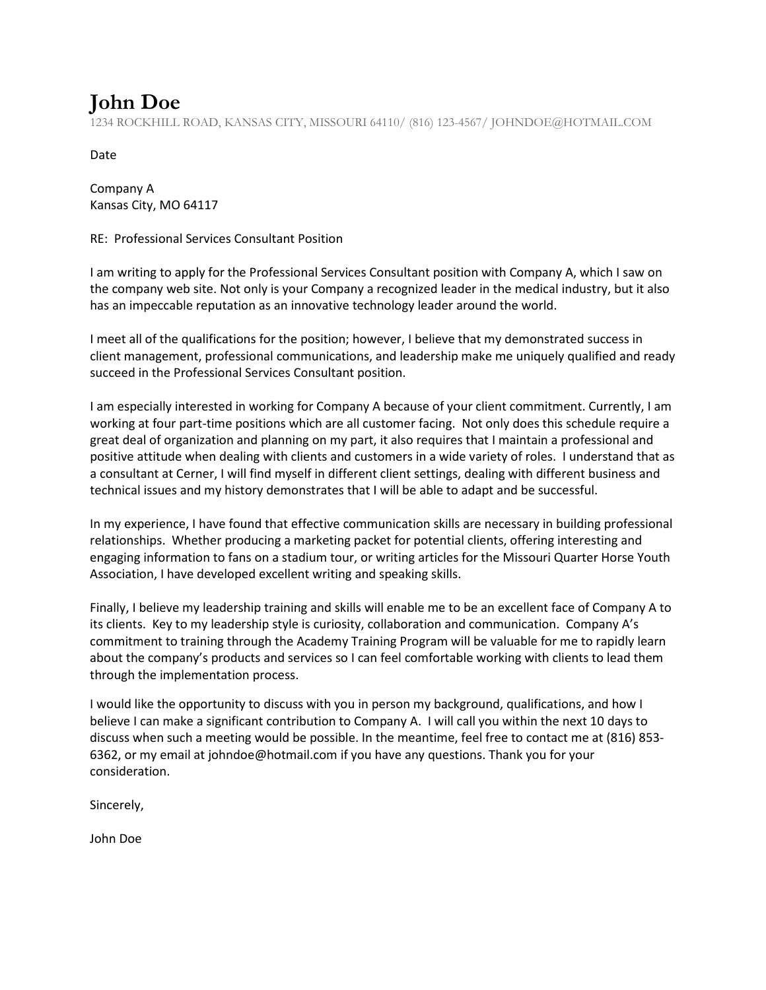## **John Doe**

1234 ROCKHILL ROAD, KANSAS CITY, MISSOURI 64110/ (816) 123-4567/ JOHNDOE@HOTMAIL.COM

Date

Company A Kansas City, MO 64117

RE: Professional Services Consultant Position

I am writing to apply for the Professional Services Consultant position with Company A, which I saw on the company web site. Not only is your Company a recognized leader in the medical industry, but it also has an impeccable reputation as an innovative technology leader around the world.

I meet all of the qualifications for the position; however, I believe that my demonstrated success in client management, professional communications, and leadership make me uniquely qualified and ready succeed in the Professional Services Consultant position.

I am especially interested in working for Company A because of your client commitment. Currently, I am working at four part-time positions which are all customer facing. Not only does this schedule require a great deal of organization and planning on my part, it also requires that I maintain a professional and positive attitude when dealing with clients and customers in a wide variety of roles. I understand that as a consultant at Cerner, I will find myself in different client settings, dealing with different business and technical issues and my history demonstrates that I will be able to adapt and be successful.

In my experience, I have found that effective communication skills are necessary in building professional relationships. Whether producing a marketing packet for potential clients, offering interesting and engaging information to fans on a stadium tour, or writing articles for the Missouri Quarter Horse Youth Association, I have developed excellent writing and speaking skills.

Finally, I believe my leadership training and skills will enable me to be an excellent face of Company A to its clients. Key to my leadership style is curiosity, collaboration and communication. Company A's commitment to training through the Academy Training Program will be valuable for me to rapidly learn about the company's products and services so I can feel comfortable working with clients to lead them through the implementation process.

I would like the opportunity to discuss with you in person my background, qualifications, and how I believe I can make a significant contribution to Company A. I will call you within the next 10 days to discuss when such a meeting would be possible. In the meantime, feel free to contact me at (816) 853- 6362, or my email at johndoe@hotmail.com if you have any questions. Thank you for your consideration.

Sincerely,

John Doe